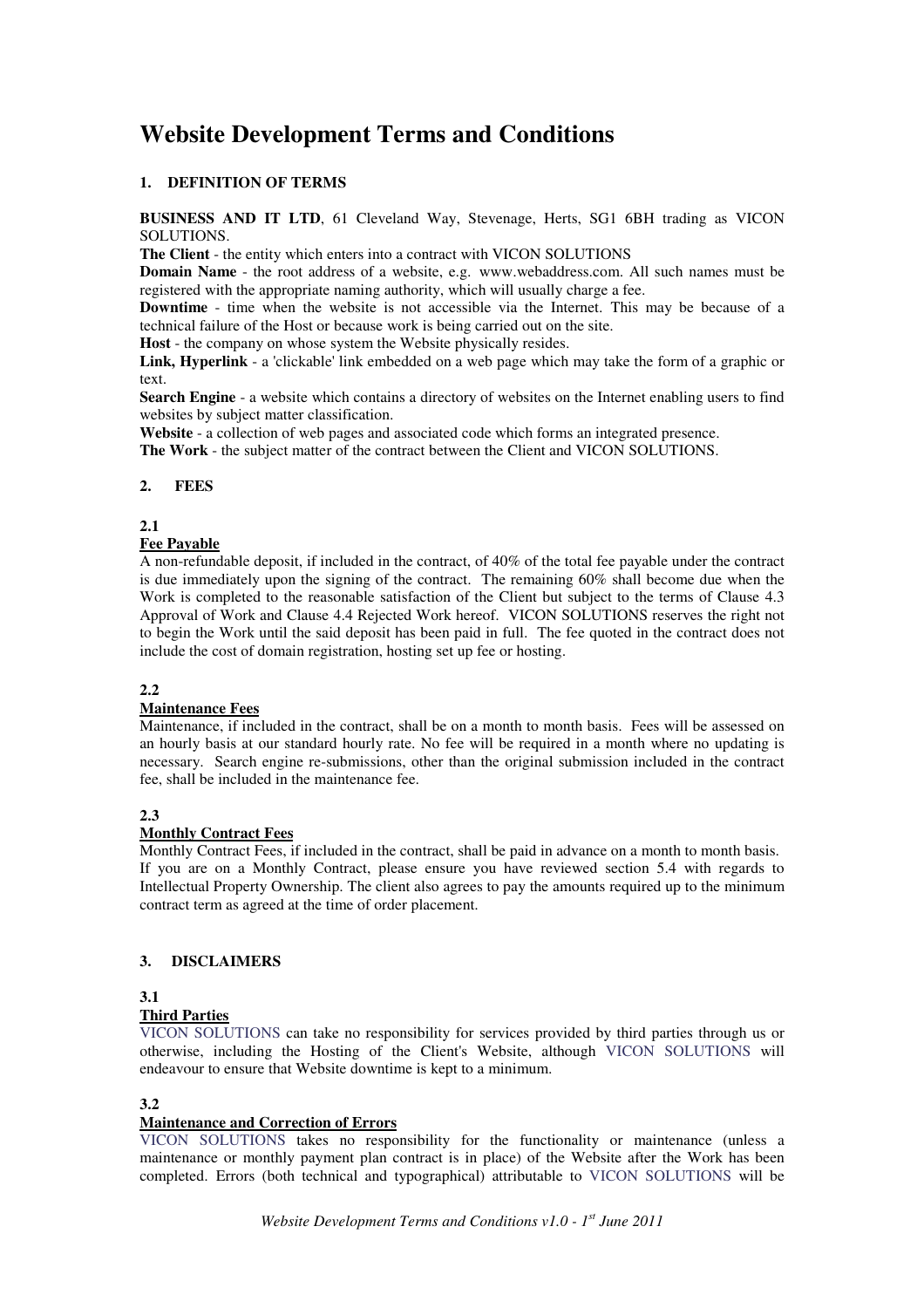# **Website Development Terms and Conditions**

# **1. DEFINITION OF TERMS**

**BUSINESS AND IT LTD**, 61 Cleveland Way, Stevenage, Herts, SG1 6BH trading as VICON SOLUTIONS.

**The Client** - the entity which enters into a contract with VICON SOLUTIONS

**Domain Name** - the root address of a website, e.g. www.webaddress.com. All such names must be registered with the appropriate naming authority, which will usually charge a fee.

**Downtime** - time when the website is not accessible via the Internet. This may be because of a technical failure of the Host or because work is being carried out on the site.

**Host** - the company on whose system the Website physically resides.

**Link, Hyperlink** - a 'clickable' link embedded on a web page which may take the form of a graphic or text.

**Search Engine** - a website which contains a directory of websites on the Internet enabling users to find websites by subject matter classification.

**Website** - a collection of web pages and associated code which forms an integrated presence.

**The Work** - the subject matter of the contract between the Client and VICON SOLUTIONS.

#### **2. FEES**

#### **2.1**

#### **Fee Payable**

A non-refundable deposit, if included in the contract, of 40% of the total fee payable under the contract is due immediately upon the signing of the contract. The remaining 60% shall become due when the Work is completed to the reasonable satisfaction of the Client but subject to the terms of Clause 4.3 Approval of Work and Clause 4.4 Rejected Work hereof. VICON SOLUTIONS reserves the right not to begin the Work until the said deposit has been paid in full. The fee quoted in the contract does not include the cost of domain registration, hosting set up fee or hosting.

# **2.2**

#### **Maintenance Fees**

Maintenance, if included in the contract, shall be on a month to month basis. Fees will be assessed on an hourly basis at our standard hourly rate. No fee will be required in a month where no updating is necessary. Search engine re-submissions, other than the original submission included in the contract fee, shall be included in the maintenance fee.

#### **2.3**

## **Monthly Contract Fees**

Monthly Contract Fees, if included in the contract, shall be paid in advance on a month to month basis. If you are on a Monthly Contract, please ensure you have reviewed section 5.4 with regards to Intellectual Property Ownership. The client also agrees to pay the amounts required up to the minimum contract term as agreed at the time of order placement.

# **3. DISCLAIMERS**

# **3.1**

#### **Third Parties**

VICON SOLUTIONS can take no responsibility for services provided by third parties through us or otherwise, including the Hosting of the Client's Website, although VICON SOLUTIONS will endeavour to ensure that Website downtime is kept to a minimum.

#### **3.2**

# **Maintenance and Correction of Errors**

VICON SOLUTIONS takes no responsibility for the functionality or maintenance (unless a maintenance or monthly payment plan contract is in place) of the Website after the Work has been completed. Errors (both technical and typographical) attributable to VICON SOLUTIONS will be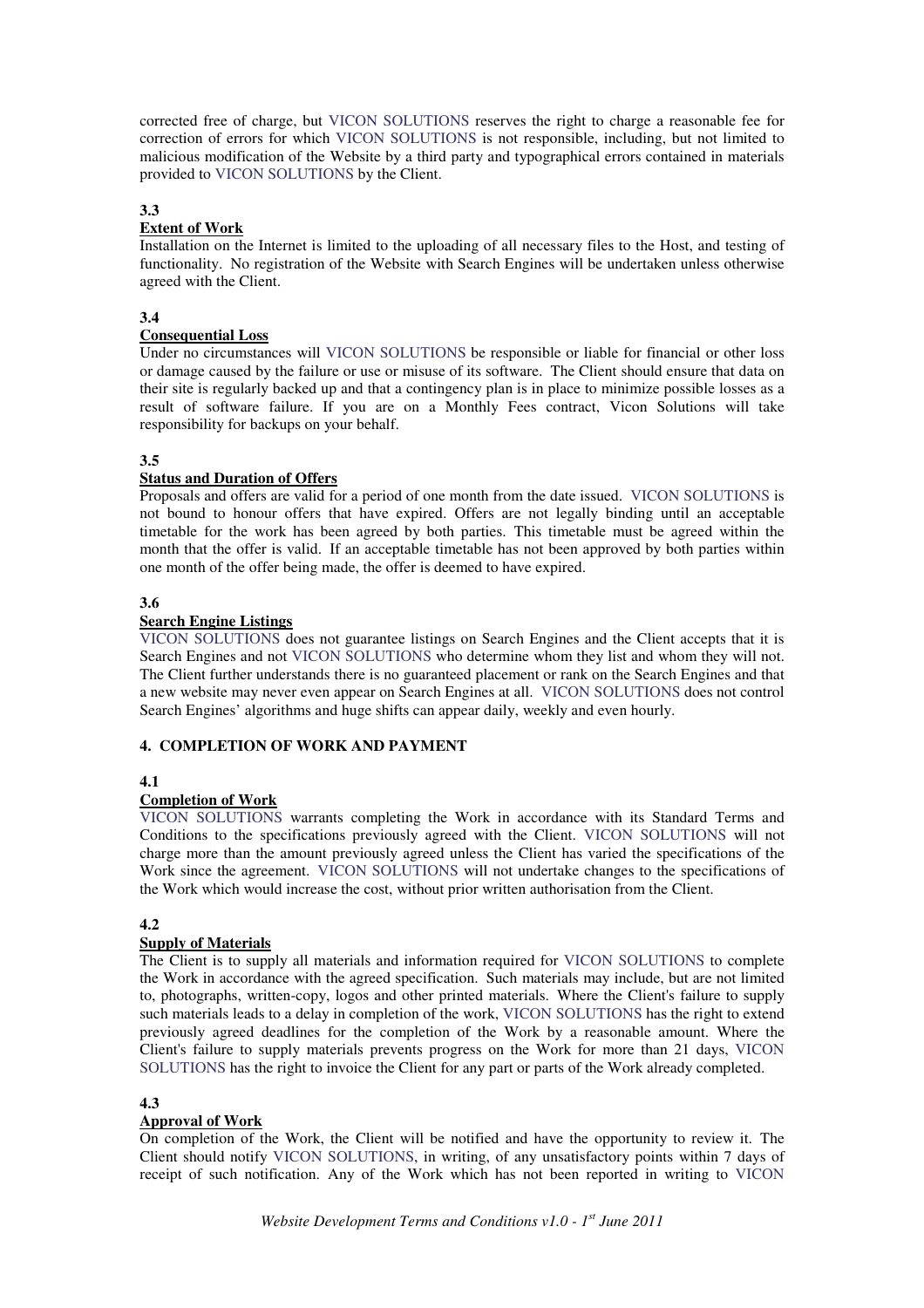corrected free of charge, but VICON SOLUTIONS reserves the right to charge a reasonable fee for correction of errors for which VICON SOLUTIONS is not responsible, including, but not limited to malicious modification of the Website by a third party and typographical errors contained in materials provided to VICON SOLUTIONS by the Client.

#### **3.3**

# **Extent of Work**

Installation on the Internet is limited to the uploading of all necessary files to the Host, and testing of functionality. No registration of the Website with Search Engines will be undertaken unless otherwise agreed with the Client.

#### **3.4**

#### **Consequential Loss**

Under no circumstances will VICON SOLUTIONS be responsible or liable for financial or other loss or damage caused by the failure or use or misuse of its software. The Client should ensure that data on their site is regularly backed up and that a contingency plan is in place to minimize possible losses as a result of software failure. If you are on a Monthly Fees contract, Vicon Solutions will take responsibility for backups on your behalf.

#### **3.5**

# **Status and Duration of Offers**

Proposals and offers are valid for a period of one month from the date issued. VICON SOLUTIONS is not bound to honour offers that have expired. Offers are not legally binding until an acceptable timetable for the work has been agreed by both parties. This timetable must be agreed within the month that the offer is valid. If an acceptable timetable has not been approved by both parties within one month of the offer being made, the offer is deemed to have expired.

# **3.6**

# **Search Engine Listings**

VICON SOLUTIONS does not guarantee listings on Search Engines and the Client accepts that it is Search Engines and not VICON SOLUTIONS who determine whom they list and whom they will not. The Client further understands there is no guaranteed placement or rank on the Search Engines and that a new website may never even appear on Search Engines at all. VICON SOLUTIONS does not control Search Engines' algorithms and huge shifts can appear daily, weekly and even hourly.

#### **4. COMPLETION OF WORK AND PAYMENT**

#### **4.1**

# **Completion of Work**

VICON SOLUTIONS warrants completing the Work in accordance with its Standard Terms and Conditions to the specifications previously agreed with the Client. VICON SOLUTIONS will not charge more than the amount previously agreed unless the Client has varied the specifications of the Work since the agreement. VICON SOLUTIONS will not undertake changes to the specifications of the Work which would increase the cost, without prior written authorisation from the Client.

#### **4.2**

# **Supply of Materials**

The Client is to supply all materials and information required for VICON SOLUTIONS to complete the Work in accordance with the agreed specification. Such materials may include, but are not limited to, photographs, written-copy, logos and other printed materials. Where the Client's failure to supply such materials leads to a delay in completion of the work, VICON SOLUTIONS has the right to extend previously agreed deadlines for the completion of the Work by a reasonable amount. Where the Client's failure to supply materials prevents progress on the Work for more than 21 days, VICON SOLUTIONS has the right to invoice the Client for any part or parts of the Work already completed.

#### **4.3**

#### **Approval of Work**

On completion of the Work, the Client will be notified and have the opportunity to review it. The Client should notify VICON SOLUTIONS, in writing, of any unsatisfactory points within 7 days of receipt of such notification. Any of the Work which has not been reported in writing to VICON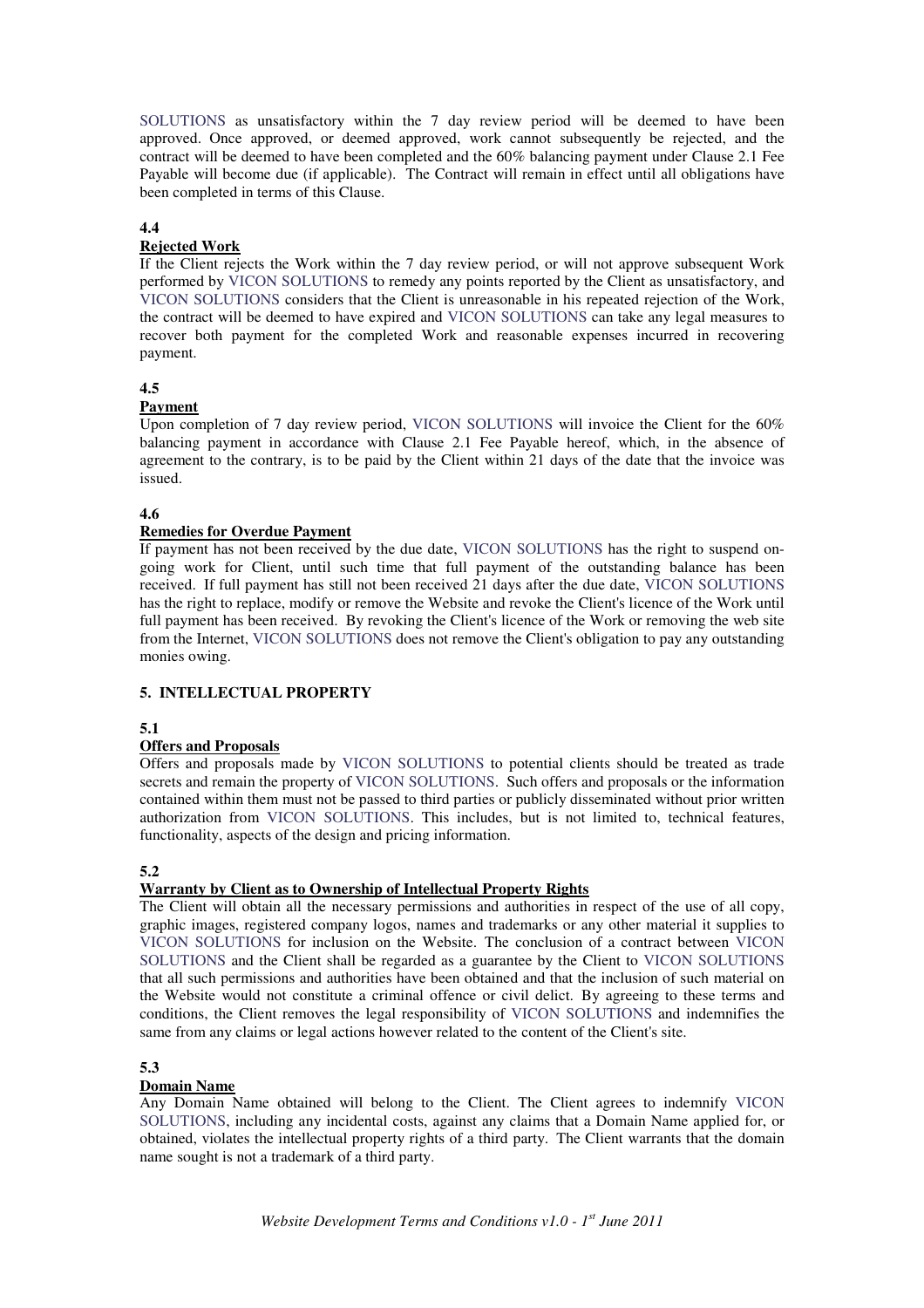SOLUTIONS as unsatisfactory within the 7 day review period will be deemed to have been approved. Once approved, or deemed approved, work cannot subsequently be rejected, and the contract will be deemed to have been completed and the 60% balancing payment under Clause 2.1 Fee Payable will become due (if applicable). The Contract will remain in effect until all obligations have been completed in terms of this Clause.

#### **4.4**

# **Rejected Work**

If the Client rejects the Work within the 7 day review period, or will not approve subsequent Work performed by VICON SOLUTIONS to remedy any points reported by the Client as unsatisfactory, and VICON SOLUTIONS considers that the Client is unreasonable in his repeated rejection of the Work, the contract will be deemed to have expired and VICON SOLUTIONS can take any legal measures to recover both payment for the completed Work and reasonable expenses incurred in recovering payment.

#### **4.5**

#### **Payment**

Upon completion of 7 day review period, VICON SOLUTIONS will invoice the Client for the 60% balancing payment in accordance with Clause 2.1 Fee Payable hereof, which, in the absence of agreement to the contrary, is to be paid by the Client within 21 days of the date that the invoice was issued.

#### **4.6**

#### **Remedies for Overdue Payment**

If payment has not been received by the due date, VICON SOLUTIONS has the right to suspend ongoing work for Client, until such time that full payment of the outstanding balance has been received. If full payment has still not been received 21 days after the due date, VICON SOLUTIONS has the right to replace, modify or remove the Website and revoke the Client's licence of the Work until full payment has been received. By revoking the Client's licence of the Work or removing the web site from the Internet, VICON SOLUTIONS does not remove the Client's obligation to pay any outstanding monies owing.

# **5. INTELLECTUAL PROPERTY**

#### **5.1**

# **Offers and Proposals**

Offers and proposals made by VICON SOLUTIONS to potential clients should be treated as trade secrets and remain the property of VICON SOLUTIONS. Such offers and proposals or the information contained within them must not be passed to third parties or publicly disseminated without prior written authorization from VICON SOLUTIONS. This includes, but is not limited to, technical features, functionality, aspects of the design and pricing information.

#### **5.2**

# **Warranty by Client as to Ownership of Intellectual Property Rights**

The Client will obtain all the necessary permissions and authorities in respect of the use of all copy, graphic images, registered company logos, names and trademarks or any other material it supplies to VICON SOLUTIONS for inclusion on the Website. The conclusion of a contract between VICON SOLUTIONS and the Client shall be regarded as a guarantee by the Client to VICON SOLUTIONS that all such permissions and authorities have been obtained and that the inclusion of such material on the Website would not constitute a criminal offence or civil delict. By agreeing to these terms and conditions, the Client removes the legal responsibility of VICON SOLUTIONS and indemnifies the same from any claims or legal actions however related to the content of the Client's site.

#### **5.3**

#### **Domain Name**

Any Domain Name obtained will belong to the Client. The Client agrees to indemnify VICON SOLUTIONS, including any incidental costs, against any claims that a Domain Name applied for, or obtained, violates the intellectual property rights of a third party. The Client warrants that the domain name sought is not a trademark of a third party.